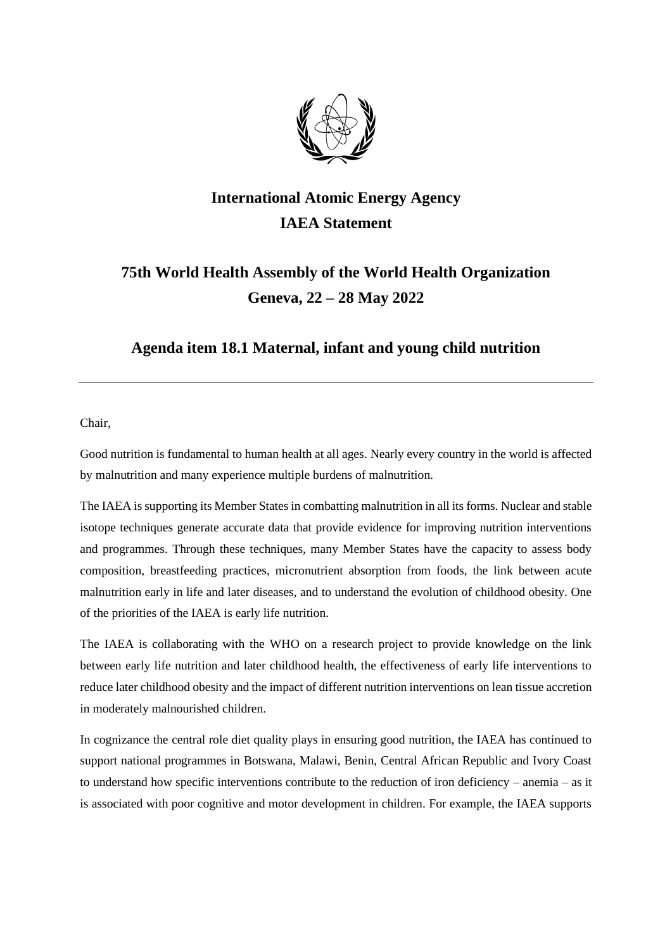

## **International Atomic Energy Agency IAEA Statement**

## **75th World Health Assembly of the World Health Organization Geneva, 22 – 28 May 2022**

## **Agenda item 18.1 Maternal, infant and young child nutrition**

Chair,

Good nutrition is fundamental to human health at all ages. Nearly every country in the world is affected by malnutrition and many experience multiple burdens of malnutrition.

The IAEA is supporting its Member States in combatting malnutrition in all its forms. Nuclear and stable isotope techniques generate accurate data that provide evidence for improving nutrition interventions and programmes. Through these techniques, many Member States have the capacity to assess body composition, breastfeeding practices, micronutrient absorption from foods, the link between acute malnutrition early in life and later diseases, and to understand the evolution of childhood obesity. One of the priorities of the IAEA is early life nutrition.

The IAEA is collaborating with the WHO on a research project to provide knowledge on the link between early life nutrition and later childhood health, the effectiveness of early life interventions to reduce later childhood obesity and the impact of different nutrition interventions on lean tissue accretion in moderately malnourished children.

In cognizance the central role diet quality plays in ensuring good nutrition, the IAEA has continued to support national programmes in Botswana, Malawi, Benin, Central African Republic and Ivory Coast to understand how specific interventions contribute to the reduction of iron deficiency – anemia – as it is associated with poor cognitive and motor development in children. For example, the IAEA supports